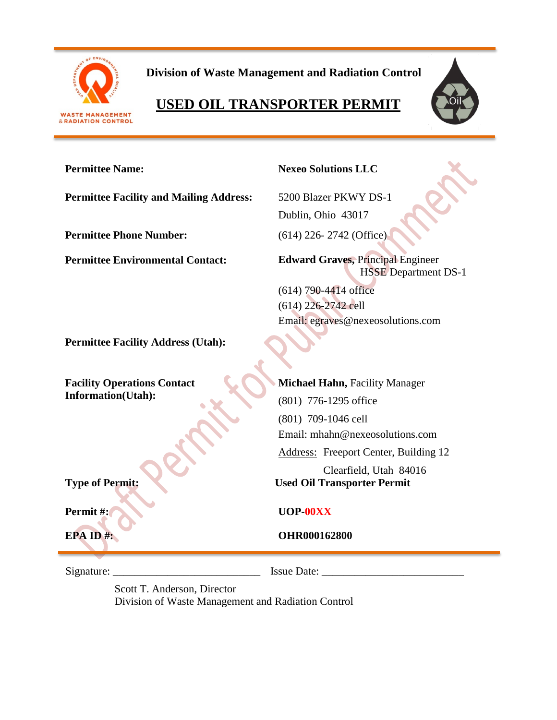

 **Division of Waste Management and Radiation Control**

# **USED OIL TRANSPORTER PERMIT**



## **Permittee Name: Nexeo Solutions LLC**

**Permittee Facility and Mailing Address:** 5200 Blazer PKWY DS-1

**Permittee Phone Number:** (614) 226- 2742 (Office)

Dublin, Ohio 43017

**Permittee Environmental Contact: Edward Graves,** Principal Engineer HSSE Department DS-1

> (614) 790-4414 office (614) 226-2742 cell Email: egraves@nexeosolutions.com

**Permittee Facility Address (Utah):**

**Facility Operations Contact Information(Utah):**

**Type of Permit: Used Oil Transporter Permit**

**Michael Hahn, Facility Manager** (801) 776-1295 office (801) 709-1046 cell Email: mhahn@nexeosolutions.com Address: Freeport Center, Building 12 Clearfield, Utah 84016

# **Permit #: UOP-00XX**

**EPA ID #: OHR000162800** 

Signature: \_\_\_\_\_\_\_\_\_\_\_\_\_\_\_\_\_\_\_\_\_\_\_\_\_\_\_ Issue Date: \_\_\_\_\_\_\_\_\_\_\_\_\_\_\_\_\_\_\_\_\_\_\_\_\_\_

Scott T. Anderson, Director Division of Waste Management and Radiation Control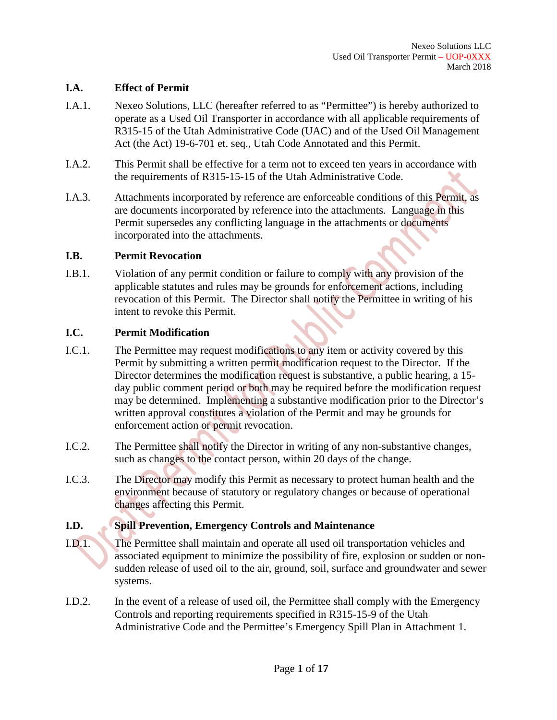## **I.A. Effect of Permit**

- I.A.1. Nexeo Solutions, LLC (hereafter referred to as "Permittee") is hereby authorized to operate as a Used Oil Transporter in accordance with all applicable requirements of R315-15 of the Utah Administrative Code (UAC) and of the Used Oil Management Act (the Act) 19-6-701 et. seq., Utah Code Annotated and this Permit.
- I.A.2. This Permit shall be effective for a term not to exceed ten years in accordance with the requirements of R315-15-15 of the Utah Administrative Code.
- I.A.3. Attachments incorporated by reference are enforceable conditions of this Permit, as are documents incorporated by reference into the attachments. Language in this Permit supersedes any conflicting language in the attachments or documents incorporated into the attachments.

#### **I.B. Permit Revocation**

I.B.1. Violation of any permit condition or failure to comply with any provision of the applicable statutes and rules may be grounds for enforcement actions, including revocation of this Permit. The Director shall notify the Permittee in writing of his intent to revoke this Permit.

#### **I.C. Permit Modification**

- I.C.1. The Permittee may request modifications to any item or activity covered by this Permit by submitting a written permit modification request to the Director. If the Director determines the modification request is substantive, a public hearing, a 15 day public comment period or both may be required before the modification request may be determined. Implementing a substantive modification prior to the Director's written approval constitutes a violation of the Permit and may be grounds for enforcement action or permit revocation.
- I.C.2. The Permittee shall notify the Director in writing of any non-substantive changes, such as changes to the contact person, within 20 days of the change.
- I.C.3. The Director may modify this Permit as necessary to protect human health and the environment because of statutory or regulatory changes or because of operational changes affecting this Permit.

## **I.D. Spill Prevention, Emergency Controls and Maintenance**

- I.D.1. The Permittee shall maintain and operate all used oil transportation vehicles and associated equipment to minimize the possibility of fire, explosion or sudden or nonsudden release of used oil to the air, ground, soil, surface and groundwater and sewer systems.
- I.D.2. In the event of a release of used oil, the Permittee shall comply with the Emergency Controls and reporting requirements specified in R315-15-9 of the Utah Administrative Code and the Permittee's Emergency Spill Plan in Attachment 1.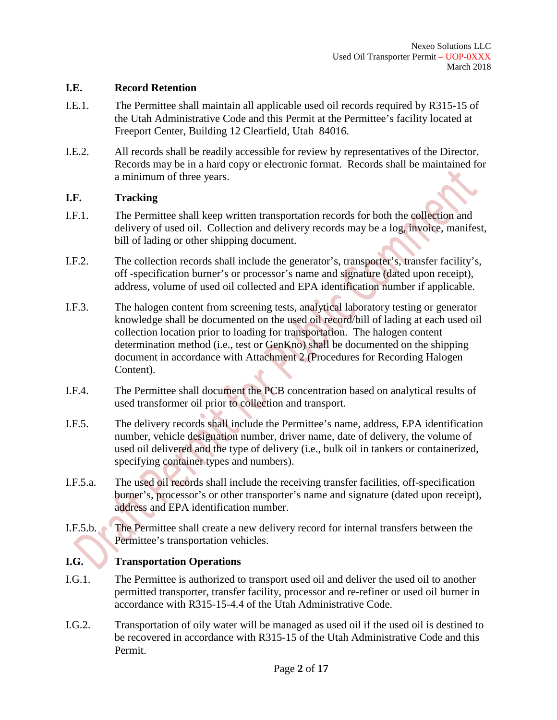#### **I.E. Record Retention**

- I.E.1. The Permittee shall maintain all applicable used oil records required by R315-15 of the Utah Administrative Code and this Permit at the Permittee's facility located at Freeport Center, Building 12 Clearfield, Utah 84016.
- I.E.2. All records shall be readily accessible for review by representatives of the Director. Records may be in a hard copy or electronic format. Records shall be maintained for a minimum of three years.

## **I.F. Tracking**

- I.F.1. The Permittee shall keep written transportation records for both the collection and delivery of used oil. Collection and delivery records may be a log, invoice, manifest, bill of lading or other shipping document.
- I.F.2. The collection records shall include the generator's, transporter's, transfer facility's, off -specification burner's or processor's name and signature (dated upon receipt), address, volume of used oil collected and EPA identification number if applicable.
- I.F.3. The halogen content from screening tests, analytical laboratory testing or generator knowledge shall be documented on the used oil record/bill of lading at each used oil collection location prior to loading for transportation. The halogen content determination method (i.e., test or GenKno) shall be documented on the shipping document in accordance with Attachment 2 (Procedures for Recording Halogen Content).
- I.F.4. The Permittee shall document the PCB concentration based on analytical results of used transformer oil prior to collection and transport.
- I.F.5. The delivery records shall include the Permittee's name, address, EPA identification number, vehicle designation number, driver name, date of delivery, the volume of used oil delivered and the type of delivery (i.e., bulk oil in tankers or containerized, specifying container types and numbers).
- I.F.5.a. The used oil records shall include the receiving transfer facilities, off-specification burner's, processor's or other transporter's name and signature (dated upon receipt), address and EPA identification number.
- I.F.5.b. The Permittee shall create a new delivery record for internal transfers between the Permittee's transportation vehicles.

## **I.G. Transportation Operations**

- I.G.1. The Permittee is authorized to transport used oil and deliver the used oil to another permitted transporter, transfer facility, processor and re-refiner or used oil burner in accordance with R315-15-4.4 of the Utah Administrative Code.
- I.G.2. Transportation of oily water will be managed as used oil if the used oil is destined to be recovered in accordance with R315-15 of the Utah Administrative Code and this Permit.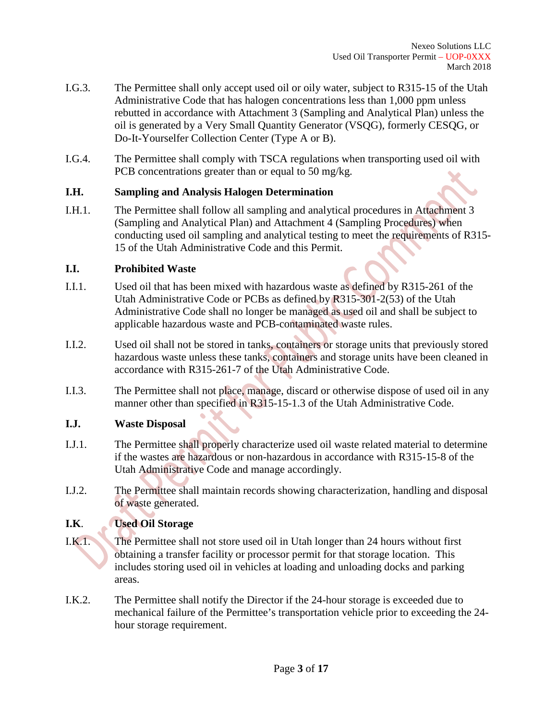- I.G.3. The Permittee shall only accept used oil or oily water, subject to R315-15 of the Utah Administrative Code that has halogen concentrations less than 1,000 ppm unless rebutted in accordance with Attachment 3 (Sampling and Analytical Plan) unless the oil is generated by a Very Small Quantity Generator (VSQG), formerly CESQG, or Do-It-Yourselfer Collection Center (Type A or B).
- I.G.4. The Permittee shall comply with TSCA regulations when transporting used oil with PCB concentrations greater than or equal to 50 mg/kg.

#### **I.H. Sampling and Analysis Halogen Determination**

I.H.1. The Permittee shall follow all sampling and analytical procedures in Attachment 3 (Sampling and Analytical Plan) and Attachment 4 (Sampling Procedures) when conducting used oil sampling and analytical testing to meet the requirements of R315- 15 of the Utah Administrative Code and this Permit.

#### **I.I. Prohibited Waste**

- I.I.1. Used oil that has been mixed with hazardous waste as defined by R315-261 of the Utah Administrative Code or PCBs as defined by R315-301-2(53) of the Utah Administrative Code shall no longer be managed as used oil and shall be subject to applicable hazardous waste and PCB-contaminated waste rules.
- I.I.2. Used oil shall not be stored in tanks, containers or storage units that previously stored hazardous waste unless these tanks, containers and storage units have been cleaned in accordance with R315-261-7 of the Utah Administrative Code.
- I.I.3. The Permittee shall not place, manage, discard or otherwise dispose of used oil in any manner other than specified in R315-15-1.3 of the Utah Administrative Code.

## **I.J. Waste Disposal**

- I.J.1. The Permittee shall properly characterize used oil waste related material to determine if the wastes are hazardous or non-hazardous in accordance with R315-15-8 of the Utah Administrative Code and manage accordingly.
- I.J.2. The Permittee shall maintain records showing characterization, handling and disposal of waste generated.

## **I.K**. **Used Oil Storage**

- I.K.1. The Permittee shall not store used oil in Utah longer than 24 hours without first obtaining a transfer facility or processor permit for that storage location. This includes storing used oil in vehicles at loading and unloading docks and parking areas.
- I.K.2. The Permittee shall notify the Director if the 24-hour storage is exceeded due to mechanical failure of the Permittee's transportation vehicle prior to exceeding the 24 hour storage requirement.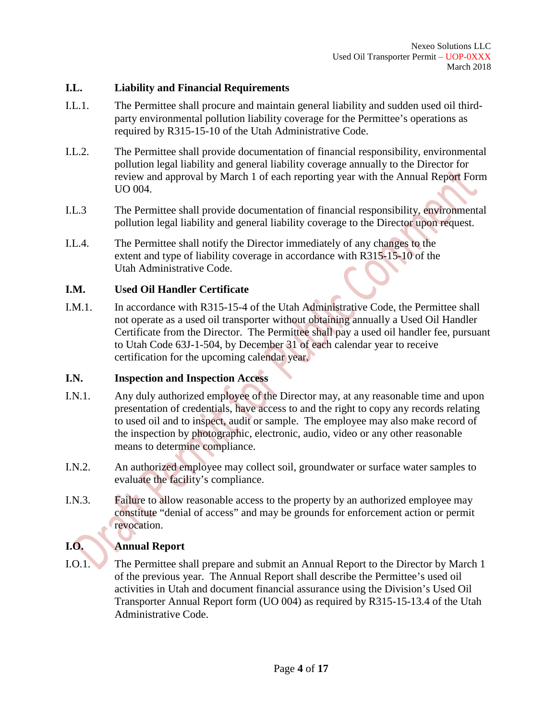#### **I.L. Liability and Financial Requirements**

- I.L.1. The Permittee shall procure and maintain general liability and sudden used oil thirdparty environmental pollution liability coverage for the Permittee's operations as required by R315-15-10 of the Utah Administrative Code.
- I.L.2. The Permittee shall provide documentation of financial responsibility, environmental pollution legal liability and general liability coverage annually to the Director for review and approval by March 1 of each reporting year with the Annual Report Form UO 004.
- I.L.3 The Permittee shall provide documentation of financial responsibility, environmental pollution legal liability and general liability coverage to the Director upon request.
- I.L.4. The Permittee shall notify the Director immediately of any changes to the extent and type of liability coverage in accordance with R315-15-10 of the Utah Administrative Code.

## **I.M. Used Oil Handler Certificate**

I.M.1. In accordance with R315-15-4 of the Utah Administrative Code, the Permittee shall not operate as a used oil transporter without obtaining annually a Used Oil Handler Certificate from the Director. The Permittee shall pay a used oil handler fee, pursuant to Utah Code 63J-1-504, by December 31 of each calendar year to receive certification for the upcoming calendar year.

## **I.N. Inspection and Inspection Access**

- I.N.1. Any duly authorized employee of the Director may, at any reasonable time and upon presentation of credentials, have access to and the right to copy any records relating to used oil and to inspect, audit or sample. The employee may also make record of the inspection by photographic, electronic, audio, video or any other reasonable means to determine compliance.
- I.N.2. An authorized employee may collect soil, groundwater or surface water samples to evaluate the facility's compliance.
- I.N.3. Failure to allow reasonable access to the property by an authorized employee may constitute "denial of access" and may be grounds for enforcement action or permit revocation.

# **I.O. Annual Report**

I.O.1. The Permittee shall prepare and submit an Annual Report to the Director by March 1 of the previous year. The Annual Report shall describe the Permittee's used oil activities in Utah and document financial assurance using the Division's Used Oil Transporter Annual Report form (UO 004) as required by R315-15-13.4 of the Utah Administrative Code.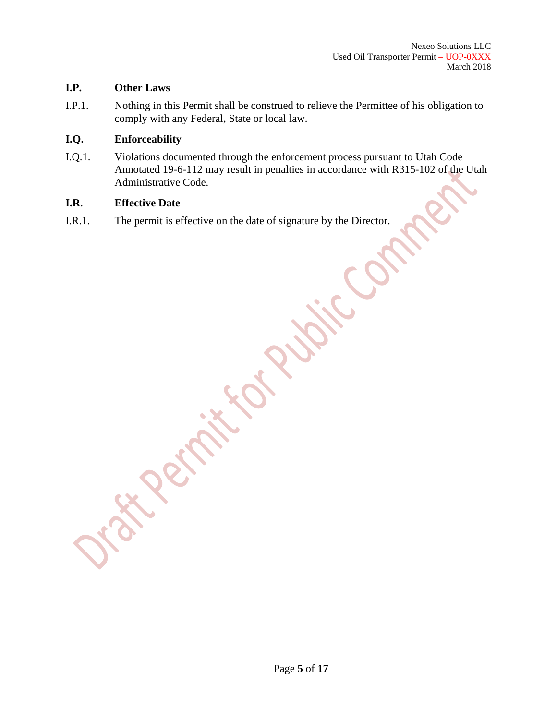## **I.P. Other Laws**

I.P.1. Nothing in this Permit shall be construed to relieve the Permittee of his obligation to comply with any Federal, State or local law.

## **I.Q. Enforceability**

I.Q.1. Violations documented through the enforcement process pursuant to Utah Code Annotated 19-6-112 may result in penalties in accordance with R315-102 of the Utah Administrative Code.

#### **I.R**. **Effective Date**

I.R.1. The permit is effective on the date of signature by the Director.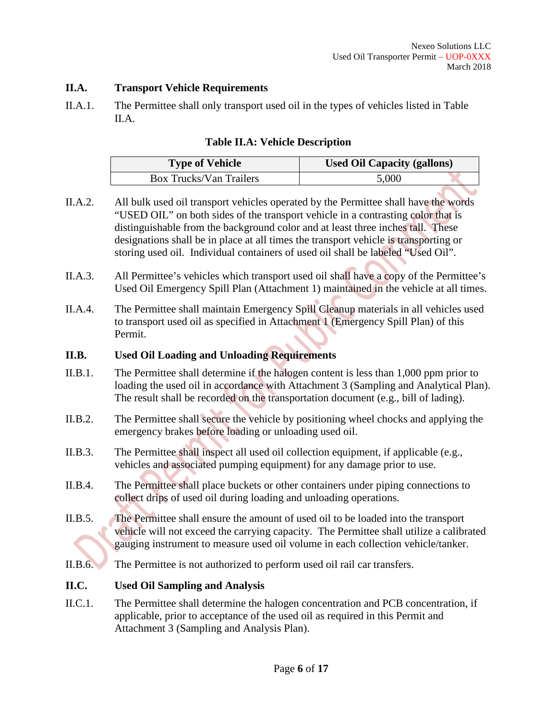## **II.A. Transport Vehicle Requirements**

II.A.1. The Permittee shall only transport used oil in the types of vehicles listed in Table II.A.

## **Table II.A: Vehicle Description**

| <b>Type of Vehicle</b>         | <b>Used Oil Capacity (gallons)</b> |  |
|--------------------------------|------------------------------------|--|
| <b>Box Trucks/Van Trailers</b> | 5,000                              |  |

- II.A.2. All bulk used oil transport vehicles operated by the Permittee shall have the words "USED OIL" on both sides of the transport vehicle in a contrasting color that is distinguishable from the background color and at least three inches tall. These designations shall be in place at all times the transport vehicle is transporting or storing used oil. Individual containers of used oil shall be labeled "Used Oil".
- II.A.3. All Permittee's vehicles which transport used oil shall have a copy of the Permittee's Used Oil Emergency Spill Plan (Attachment 1) maintained in the vehicle at all times.
- II.A.4. The Permittee shall maintain Emergency Spill Cleanup materials in all vehicles used to transport used oil as specified in Attachment 1 (Emergency Spill Plan) of this Permit.

## **II.B. Used Oil Loading and Unloading Requirements**

- II.B.1. The Permittee shall determine if the halogen content is less than 1,000 ppm prior to loading the used oil in accordance with Attachment 3 (Sampling and Analytical Plan). The result shall be recorded on the transportation document (e.g., bill of lading).
- II.B.2. The Permittee shall secure the vehicle by positioning wheel chocks and applying the emergency brakes before loading or unloading used oil.
- II.B.3. The Permittee shall inspect all used oil collection equipment, if applicable (e.g., vehicles and associated pumping equipment) for any damage prior to use.
- II.B.4. The Permittee shall place buckets or other containers under piping connections to collect drips of used oil during loading and unloading operations.
- II.B.5. The Permittee shall ensure the amount of used oil to be loaded into the transport vehicle will not exceed the carrying capacity. The Permittee shall utilize a calibrated gauging instrument to measure used oil volume in each collection vehicle/tanker.
- II.B.6. The Permittee is not authorized to perform used oil rail car transfers.

## **II.C. Used Oil Sampling and Analysis**

II.C.1. The Permittee shall determine the halogen concentration and PCB concentration, if applicable, prior to acceptance of the used oil as required in this Permit and Attachment 3 (Sampling and Analysis Plan).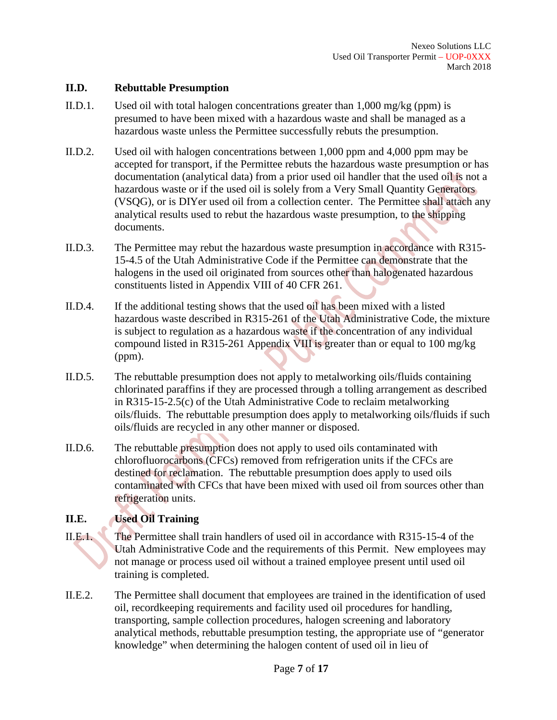## **II.D. Rebuttable Presumption**

- II.D.1. Used oil with total halogen concentrations greater than 1,000 mg/kg (ppm) is presumed to have been mixed with a hazardous waste and shall be managed as a hazardous waste unless the Permittee successfully rebuts the presumption.
- II.D.2. Used oil with halogen concentrations between 1,000 ppm and 4,000 ppm may be accepted for transport, if the Permittee rebuts the hazardous waste presumption or has documentation (analytical data) from a prior used oil handler that the used oil is not a hazardous waste or if the used oil is solely from a Very Small Quantity Generators (VSQG), or is DIYer used oil from a collection center. The Permittee shall attach any analytical results used to rebut the hazardous waste presumption, to the shipping documents.
- II.D.3. The Permittee may rebut the hazardous waste presumption in accordance with R315- 15-4.5 of the Utah Administrative Code if the Permittee can demonstrate that the halogens in the used oil originated from sources other than halogenated hazardous constituents listed in Appendix VIII of 40 CFR 261.
- II.D.4. If the additional testing shows that the used oil has been mixed with a listed hazardous waste described in R315-261 of the Utah Administrative Code, the mixture is subject to regulation as a hazardous waste if the concentration of any individual compound listed in R315-261 Appendix VIII is greater than or equal to 100 mg/kg (ppm).
- II.D.5. The rebuttable presumption does not apply to metalworking oils/fluids containing chlorinated paraffins if they are processed through a tolling arrangement as described in R315-15-2.5(c) of the Utah Administrative Code to reclaim metalworking oils/fluids. The rebuttable presumption does apply to metalworking oils/fluids if such oils/fluids are recycled in any other manner or disposed.
- II.D.6. The rebuttable presumption does not apply to used oils contaminated with chlorofluorocarbons (CFCs) removed from refrigeration units if the CFCs are destined for reclamation. The rebuttable presumption does apply to used oils contaminated with CFCs that have been mixed with used oil from sources other than refrigeration units.

## **II.E. Used Oil Training**

- II.E.1. The Permittee shall train handlers of used oil in accordance with R315-15-4 of the Utah Administrative Code and the requirements of this Permit. New employees may not manage or process used oil without a trained employee present until used oil training is completed.
- II.E.2. The Permittee shall document that employees are trained in the identification of used oil, recordkeeping requirements and facility used oil procedures for handling, transporting, sample collection procedures, halogen screening and laboratory analytical methods, rebuttable presumption testing, the appropriate use of "generator knowledge" when determining the halogen content of used oil in lieu of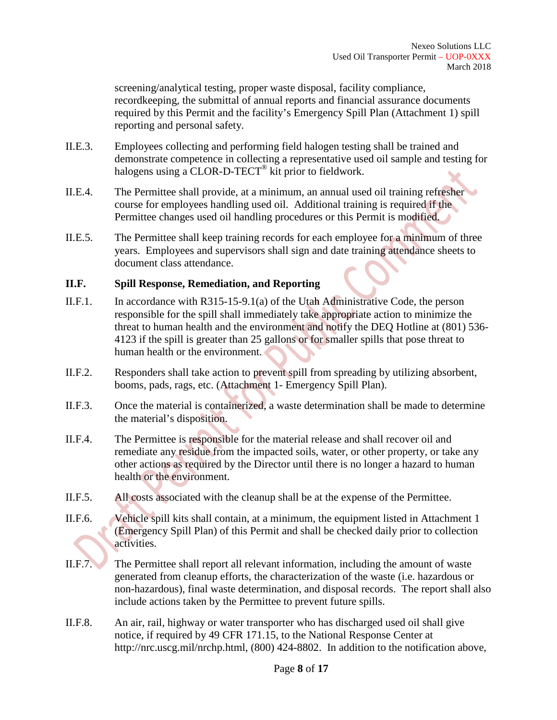screening/analytical testing, proper waste disposal, facility compliance, recordkeeping, the submittal of annual reports and financial assurance documents required by this Permit and the facility's Emergency Spill Plan (Attachment 1) spill reporting and personal safety.

- II.E.3. Employees collecting and performing field halogen testing shall be trained and demonstrate competence in collecting a representative used oil sample and testing for halogens using a CLOR-D-TECT<sup>®</sup> kit prior to fieldwork.
- II.E.4. The Permittee shall provide, at a minimum, an annual used oil training refresher course for employees handling used oil. Additional training is required if the Permittee changes used oil handling procedures or this Permit is modified.
- II.E.5. The Permittee shall keep training records for each employee for a minimum of three years. Employees and supervisors shall sign and date training attendance sheets to document class attendance.

#### **II.F. Spill Response, Remediation, and Reporting**

- II.F.1. In accordance with R315-15-9.1(a) of the Utah Administrative Code, the person responsible for the spill shall immediately take appropriate action to minimize the threat to human health and the environment and notify the DEQ Hotline at (801) 536- 4123 if the spill is greater than 25 gallons or for smaller spills that pose threat to human health or the environment.
- II.F.2. Responders shall take action to prevent spill from spreading by utilizing absorbent, booms, pads, rags, etc. (Attachment 1- Emergency Spill Plan).
- II.F.3. Once the material is containerized, a waste determination shall be made to determine the material's disposition.
- II.F.4. The Permittee is responsible for the material release and shall recover oil and remediate any residue from the impacted soils, water, or other property, or take any other actions as required by the Director until there is no longer a hazard to human health or the environment.
- II.F.5. All costs associated with the cleanup shall be at the expense of the Permittee.
- II.F.6. Vehicle spill kits shall contain, at a minimum, the equipment listed in Attachment 1 (Emergency Spill Plan) of this Permit and shall be checked daily prior to collection activities.
- II.F.7. The Permittee shall report all relevant information, including the amount of waste generated from cleanup efforts, the characterization of the waste (i.e. hazardous or non-hazardous), final waste determination, and disposal records. The report shall also include actions taken by the Permittee to prevent future spills.
- II.F.8. An air, rail, highway or water transporter who has discharged used oil shall give notice, if required by 49 CFR 171.15, to the National Response Center at http://nrc.uscg.mil/nrchp.html, (800) 424-8802. In addition to the notification above,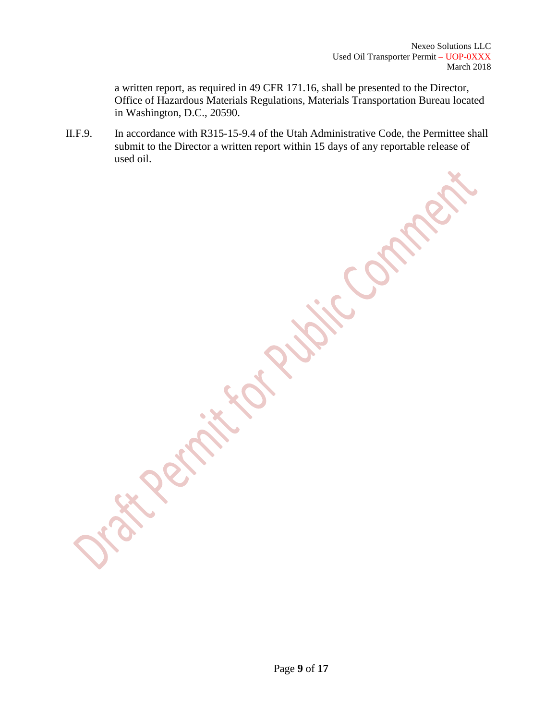a written report, as required in 49 CFR 171.16, shall be presented to the Director, Office of Hazardous Materials Regulations, Materials Transportation Bureau located in Washington, D.C., 20590.

II.F.9. In accordance with R315-15-9.4 of the Utah Administrative Code, the Permittee shall submit to the Director a written report within 15 days of any reportable release of used oil.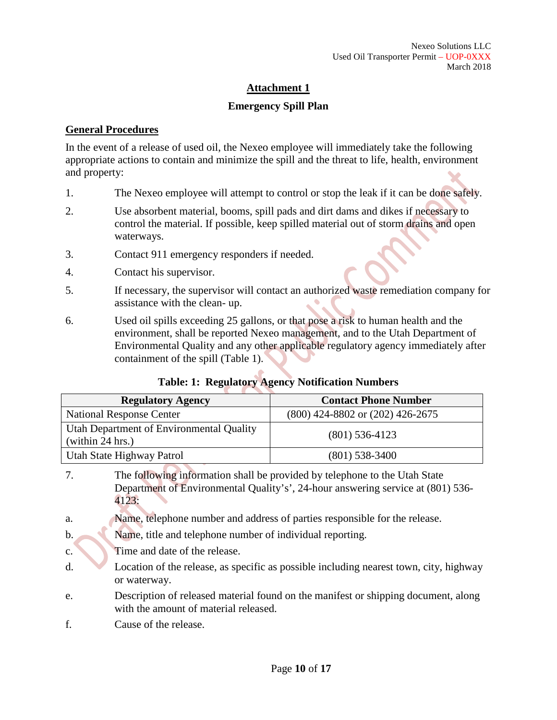## **Attachment 1**

## **Emergency Spill Plan**

## **General Procedures**

In the event of a release of used oil, the Nexeo employee will immediately take the following appropriate actions to contain and minimize the spill and the threat to life, health, environment and property:

- 1. The Nexeo employee will attempt to control or stop the leak if it can be done safely.
- 2. Use absorbent material, booms, spill pads and dirt dams and dikes if necessary to control the material. If possible, keep spilled material out of storm drains and open waterways.
- 3. Contact 911 emergency responders if needed.
- 4. Contact his supervisor.
- 5. If necessary, the supervisor will contact an authorized waste remediation company for assistance with the clean- up.
- 6. Used oil spills exceeding 25 gallons, or that pose a risk to human health and the environment, shall be reported Nexeo management, and to the Utah Department of Environmental Quality and any other applicable regulatory agency immediately after containment of the spill (Table 1).

|  |  | Table: 1: Regulatory Agency Notification Numbers |  |
|--|--|--------------------------------------------------|--|
|--|--|--------------------------------------------------|--|

| <b>Regulatory Agency</b>                                     | <b>Contact Phone Number</b>          |
|--------------------------------------------------------------|--------------------------------------|
| <b>National Response Center</b>                              | $(800)$ 424-8802 or $(202)$ 426-2675 |
| Utah Department of Environmental Quality<br>(within 24 hrs.) | $(801)$ 536-4123                     |
| Utah State Highway Patrol                                    | $(801)$ 538-3400                     |

- 7. The following information shall be provided by telephone to the Utah State Department of Environmental Quality's', 24-hour answering service at (801) 536- 4123:
- a. Name, telephone number and address of parties responsible for the release.
- b. Name, title and telephone number of individual reporting.
- c. Time and date of the release.
- d. Location of the release, as specific as possible including nearest town, city, highway or waterway.
- e. Description of released material found on the manifest or shipping document, along with the amount of material released.
- f. Cause of the release.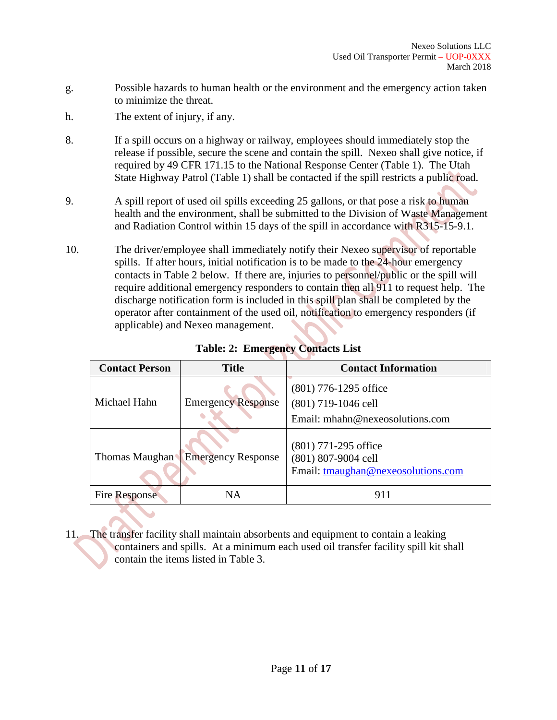- g. Possible hazards to human health or the environment and the emergency action taken to minimize the threat.
- h. The extent of injury, if any.
- 8. If a spill occurs on a highway or railway, employees should immediately stop the release if possible, secure the scene and contain the spill. Nexeo shall give notice, if required by 49 CFR 171.15 to the National Response Center (Table 1). The Utah State Highway Patrol (Table 1) shall be contacted if the spill restricts a public road.
- 9. A spill report of used oil spills exceeding 25 gallons, or that pose a risk to human health and the environment, shall be submitted to the Division of Waste Management and Radiation Control within 15 days of the spill in accordance with R315-15-9.1.
- 10. The driver/employee shall immediately notify their Nexeo supervisor of reportable spills. If after hours, initial notification is to be made to the 24-hour emergency contacts in Table 2 below. If there are, injuries to personnel/public or the spill will require additional emergency responders to contain then all 911 to request help. The discharge notification form is included in this spill plan shall be completed by the operator after containment of the used oil, notification to emergency responders (if applicable) and Nexeo management.

| <b>Contact Person</b> | <b>Title</b>              | <b>Contact Information</b>                                                          |
|-----------------------|---------------------------|-------------------------------------------------------------------------------------|
| Michael Hahn          | <b>Emergency Response</b> | $(801)$ 776-1295 office<br>(801) 719-1046 cell<br>Email: mhahn@nexeosolutions.com   |
| Thomas Maughan        | <b>Emergency Response</b> | $(801)$ 771-295 office<br>(801) 807-9004 cell<br>Email: tmaughan@nexeosolutions.com |
| <b>Fire Response</b>  | NA                        | 911                                                                                 |

**Table: 2: Emergency Contacts List**

11. The transfer facility shall maintain absorbents and equipment to contain a leaking containers and spills. At a minimum each used oil transfer facility spill kit shall contain the items listed in Table 3.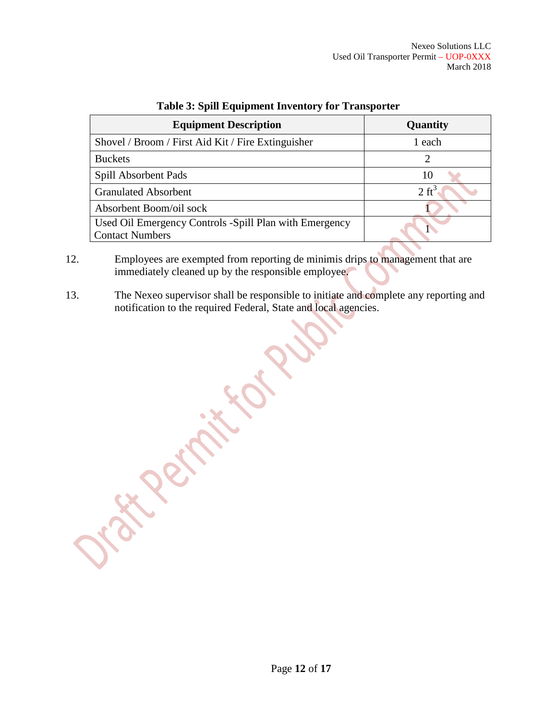| <b>Equipment Description</b>                                                      | Quantity         |  |
|-----------------------------------------------------------------------------------|------------------|--|
| Shovel / Broom / First Aid Kit / Fire Extinguisher                                | 1 each           |  |
| <b>Buckets</b>                                                                    |                  |  |
| Spill Absorbent Pads                                                              | 10               |  |
| <b>Granulated Absorbent</b>                                                       | $2 \text{ ft}^3$ |  |
| Absorbent Boom/oil sock                                                           |                  |  |
| Used Oil Emergency Controls - Spill Plan with Emergency<br><b>Contact Numbers</b> |                  |  |

## **Table 3: Spill Equipment Inventory for Transporter**

- 12. Employees are exempted from reporting de minimis drips to management that are immediately cleaned up by the responsible employee.
- 13. The Nexeo supervisor shall be responsible to initiate and complete any reporting and notification to the required Federal, State and local agencies.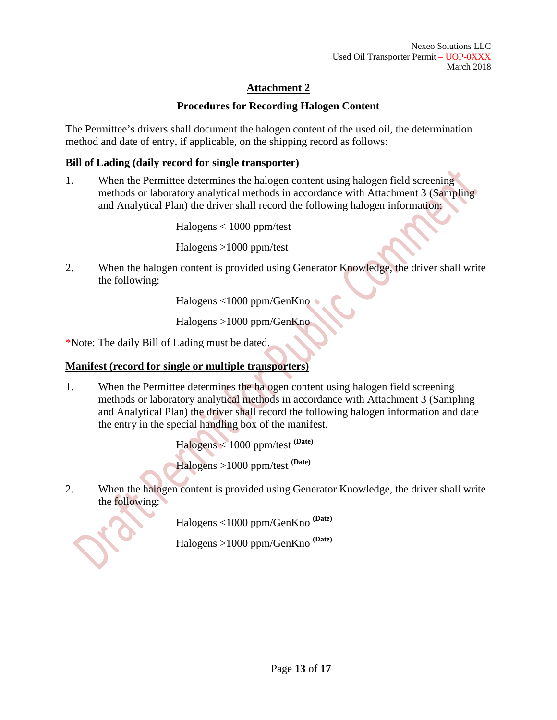# **Attachment 2**

## **Procedures for Recording Halogen Content**

The Permittee's drivers shall document the halogen content of the used oil, the determination method and date of entry, if applicable, on the shipping record as follows:

## **Bill of Lading (daily record for single transporter)**

1. When the Permittee determines the halogen content using halogen field screening methods or laboratory analytical methods in accordance with Attachment 3 (Sampling and Analytical Plan) the driver shall record the following halogen information:

Halogens < 1000 ppm/test

Halogens >1000 ppm/test

2. When the halogen content is provided using Generator Knowledge, the driver shall write the following:

Halogens <1000 ppm/GenKno

Halogens >1000 ppm/GenKno

\*Note: The daily Bill of Lading must be dated.

## **Manifest (record for single or multiple transporters)**

1. When the Permittee determines the halogen content using halogen field screening methods or laboratory analytical methods in accordance with Attachment 3 (Sampling and Analytical Plan) the driver shall record the following halogen information and date the entry in the special handling box of the manifest.

> Halogens < 1000 ppm/test **(Date)** Halogens >1000 ppm/test **(Date)**

2. When the halogen content is provided using Generator Knowledge, the driver shall write the following:

Halogens <1000 ppm/GenKno **(Date)**

Halogens >1000 ppm/GenKno **(Date)**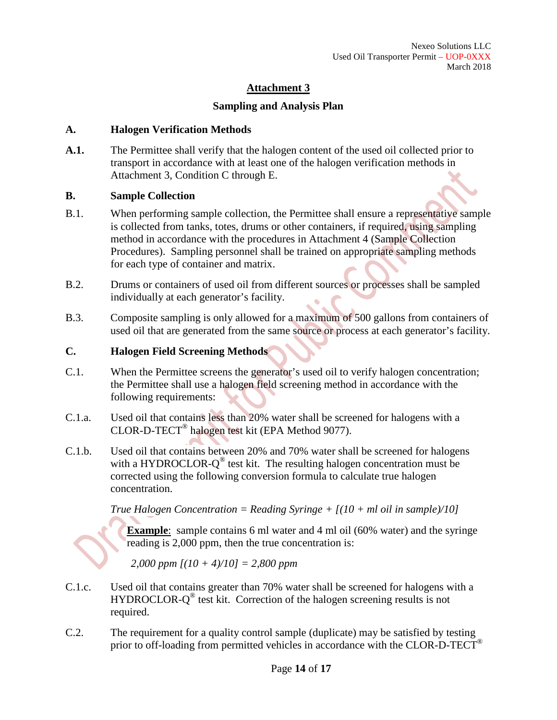## **Attachment 3**

## **Sampling and Analysis Plan**

#### **A. Halogen Verification Methods**

**A.1.** The Permittee shall verify that the halogen content of the used oil collected prior to transport in accordance with at least one of the halogen verification methods in Attachment 3, Condition C through E.

#### **B. Sample Collection**

- B.1. When performing sample collection, the Permittee shall ensure a representative sample is collected from tanks, totes, drums or other containers, if required, using sampling method in accordance with the procedures in Attachment 4 (Sample Collection Procedures). Sampling personnel shall be trained on appropriate sampling methods for each type of container and matrix.
- B.2. Drums or containers of used oil from different sources or processes shall be sampled individually at each generator's facility.
- B.3. Composite sampling is only allowed for a maximum of 500 gallons from containers of used oil that are generated from the same source or process at each generator's facility.

#### **C. Halogen Field Screening Methods**

- C.1. When the Permittee screens the generator's used oil to verify halogen concentration; the Permittee shall use a halogen field screening method in accordance with the following requirements:
- C.1.a. Used oil that contains less than 20% water shall be screened for halogens with a CLOR-D-TECT® halogen test kit (EPA Method 9077).
- C.1.b. Used oil that contains between 20% and 70% water shall be screened for halogens with a HYDROCLOR- $Q^{\circledast}$  test kit. The resulting halogen concentration must be corrected using the following conversion formula to calculate true halogen concentration.

#### *True Halogen Concentration = Reading Syringe + [(10 + ml oil in sample)/10]*

**Example**: sample contains 6 ml water and 4 ml oil (60% water) and the syringe reading is 2,000 ppm, then the true concentration is:

*2,000 ppm [(10 + 4)/10] = 2,800 ppm*

- C.1.c. Used oil that contains greater than 70% water shall be screened for halogens with a HYDROCLOR- $O^{\circledast}$  test kit. Correction of the halogen screening results is not required.
- C.2. The requirement for a quality control sample (duplicate) may be satisfied by testing prior to off-loading from permitted vehicles in accordance with the CLOR-D-TECT<sup>®</sup>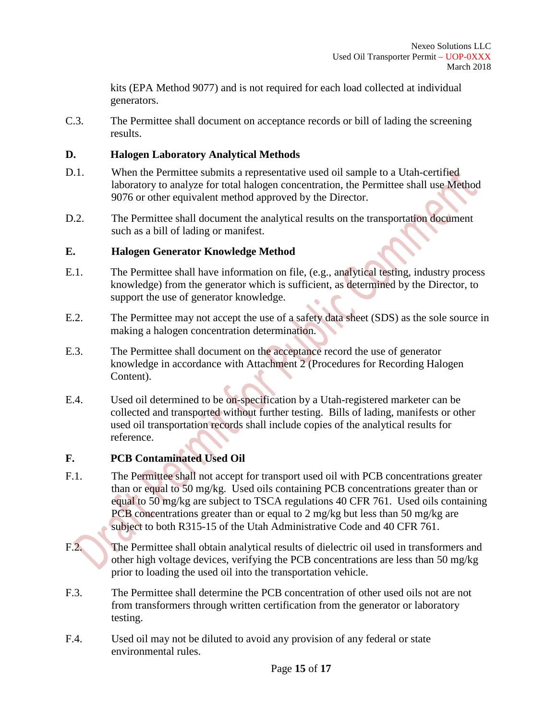kits (EPA Method 9077) and is not required for each load collected at individual generators.

C.3. The Permittee shall document on acceptance records or bill of lading the screening results.

## **D. Halogen Laboratory Analytical Methods**

- D.1. When the Permittee submits a representative used oil sample to a Utah-certified laboratory to analyze for total halogen concentration, the Permittee shall use Method 9076 or other equivalent method approved by the Director.
- D.2. The Permittee shall document the analytical results on the transportation document such as a bill of lading or manifest.

## **E. Halogen Generator Knowledge Method**

- E.1. The Permittee shall have information on file, (e.g., analytical testing, industry process knowledge) from the generator which is sufficient, as determined by the Director, to support the use of generator knowledge.
- E.2. The Permittee may not accept the use of a safety data sheet (SDS) as the sole source in making a halogen concentration determination.
- E.3. The Permittee shall document on the acceptance record the use of generator knowledge in accordance with Attachment 2 (Procedures for Recording Halogen Content).
- E.4. Used oil determined to be on-specification by a Utah-registered marketer can be collected and transported without further testing. Bills of lading, manifests or other used oil transportation records shall include copies of the analytical results for reference.

## **F. PCB Contaminated Used Oil**

- F.1. The Permittee shall not accept for transport used oil with PCB concentrations greater than or equal to 50 mg/kg. Used oils containing PCB concentrations greater than or equal to 50 mg/kg are subject to TSCA regulations 40 CFR 761. Used oils containing PCB concentrations greater than or equal to 2 mg/kg but less than 50 mg/kg are subject to both R315-15 of the Utah Administrative Code and 40 CFR 761.
- F.2. The Permittee shall obtain analytical results of dielectric oil used in transformers and other high voltage devices, verifying the PCB concentrations are less than 50 mg/kg prior to loading the used oil into the transportation vehicle.
- F.3. The Permittee shall determine the PCB concentration of other used oils not are not from transformers through written certification from the generator or laboratory testing.
- F.4. Used oil may not be diluted to avoid any provision of any federal or state environmental rules.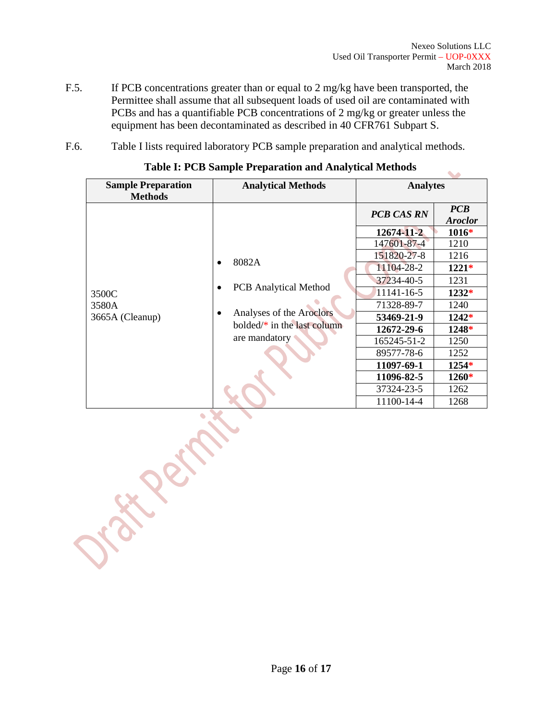- F.5. If PCB concentrations greater than or equal to 2 mg/kg have been transported, the Permittee shall assume that all subsequent loads of used oil are contaminated with PCBs and has a quantifiable PCB concentrations of 2 mg/kg or greater unless the equipment has been decontaminated as described in 40 CFR761 Subpart S.
- F.6. Table I lists required laboratory PCB sample preparation and analytical methods.

| <b>Sample Preparation</b>         | <b>Analytical Methods</b>                                                                                            | <b>Analytes</b>   |                              |
|-----------------------------------|----------------------------------------------------------------------------------------------------------------------|-------------------|------------------------------|
| <b>Methods</b>                    |                                                                                                                      |                   |                              |
|                                   | 8082A<br><b>PCB</b> Analytical Method<br>Analyses of the Aroclors<br>bolded/ $*$ in the last column<br>are mandatory | <b>PCB CAS RN</b> | <b>PCB</b><br><b>Aroclor</b> |
|                                   |                                                                                                                      | 12674-11-2        | $1016*$                      |
|                                   |                                                                                                                      | 147601-87-4       | 1210                         |
| 3500C<br>3580A<br>3665A (Cleanup) |                                                                                                                      | 151820-27-8       | 1216                         |
|                                   |                                                                                                                      | 11104-28-2        | $1221*$                      |
|                                   |                                                                                                                      | 37234-40-5        | 1231                         |
|                                   |                                                                                                                      | 11141-16-5        | $1232*$                      |
|                                   |                                                                                                                      | 71328-89-7        | 1240                         |
|                                   |                                                                                                                      | 53469-21-9        | $1242*$                      |
|                                   |                                                                                                                      | 12672-29-6        | $1248*$                      |
|                                   |                                                                                                                      | 165245-51-2       | 1250                         |
|                                   |                                                                                                                      | 89577-78-6        | 1252                         |
|                                   |                                                                                                                      | 11097-69-1        | 1254*                        |
|                                   |                                                                                                                      | 11096-82-5        | <b>1260*</b>                 |
|                                   |                                                                                                                      | 37324-23-5        | 1262                         |
|                                   |                                                                                                                      | 11100-14-4        | 1268                         |

## **Table I: PCB Sample Preparation and Analytical Methods**

Jer.